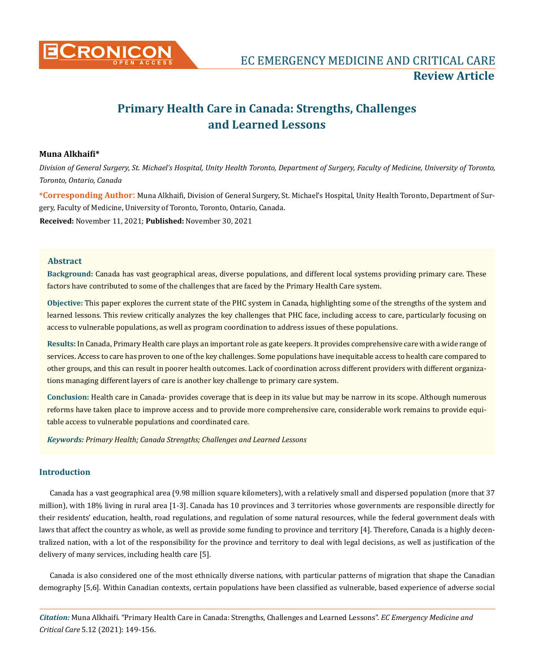

# **Primary Health Care in Canada: Strengths, Challenges and Learned Lessons**

# **Muna Alkhaifi\***

*Division of General Surgery, St. Michael's Hospital, Unity Health Toronto, Department of Surgery, Faculty of Medicine, University of Toronto, Toronto, Ontario, Canada* 

**\*Corresponding Author**: Muna Alkhaifi, Division of General Surgery, St. Michael's Hospital, Unity Health Toronto, Department of Surgery, Faculty of Medicine, University of Toronto, Toronto, Ontario, Canada.

**Received:** November 11, 2021; **Published:** November 30, 2021

# **Abstract**

**Background:** Canada has vast geographical areas, diverse populations, and different local systems providing primary care. These factors have contributed to some of the challenges that are faced by the Primary Health Care system.

**Objective:** This paper explores the current state of the PHC system in Canada, highlighting some of the strengths of the system and learned lessons. This review critically analyzes the key challenges that PHC face, including access to care, particularly focusing on access to vulnerable populations, as well as program coordination to address issues of these populations.

**Results:** In Canada, Primary Health care plays an important role as gate keepers. It provides comprehensive care with a wide range of services. Access to care has proven to one of the key challenges. Some populations have inequitable access to health care compared to other groups, and this can result in poorer health outcomes. Lack of coordination across different providers with different organizations managing different layers of care is another key challenge to primary care system.

**Conclusion:** Health care in Canada- provides coverage that is deep in its value but may be narrow in its scope. Although numerous reforms have taken place to improve access and to provide more comprehensive care, considerable work remains to provide equitable access to vulnerable populations and coordinated care.

*Keywords: Primary Health; Canada Strengths; Challenges and Learned Lessons*

# **Introduction**

Canada has a vast geographical area (9.98 million square kilometers), with a relatively small and dispersed population (more that 37 million), with 18% living in rural area [1-3]. Canada has 10 provinces and 3 territories whose governments are responsible directly for their residents' education, health, road regulations, and regulation of some natural resources, while the federal government deals with laws that affect the country as whole, as well as provide some funding to province and territory [4]. Therefore, Canada is a highly decentralized nation, with a lot of the responsibility for the province and territory to deal with legal decisions, as well as justification of the delivery of many services, including health care [5].

Canada is also considered one of the most ethnically diverse nations, with particular patterns of migration that shape the Canadian demography [5,6]. Within Canadian contexts, certain populations have been classified as vulnerable, based experience of adverse social

*Citation:* Muna Alkhaifi. "Primary Health Care in Canada: Strengths, Challenges and Learned Lessons". *EC Emergency Medicine and Critical Care* 5.12 (2021): 149-156.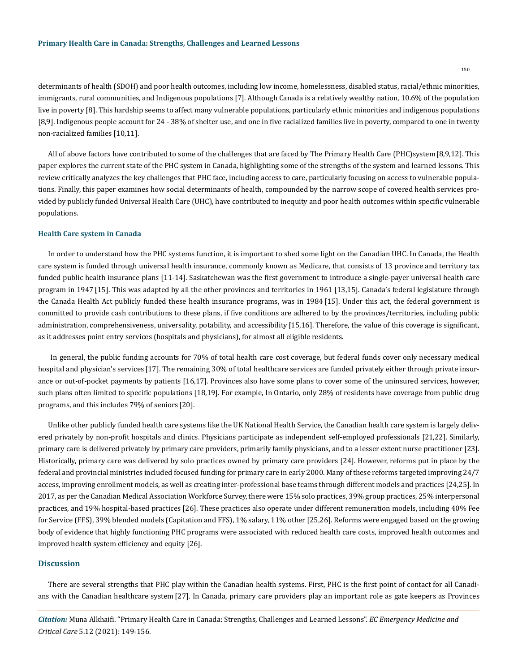determinants of health (SDOH) and poor health outcomes, including low income, homelessness, disabled status, racial/ethnic minorities, immigrants, rural communities, and Indigenous populations [7]. Although Canada is a relatively wealthy nation, 10.6% of the population live in poverty [8]. This hardship seems to affect many vulnerable populations, particularly ethnic minorities and indigenous populations [8,9]. Indigenous people account for 24 - 38% of shelter use, and one in five racialized families live in poverty, compared to one in twenty non-racialized families [10,11].

All of above factors have contributed to some of the challenges that are faced by The Primary Health Care (PHC)system [8,9,12]. This paper explores the current state of the PHC system in Canada, highlighting some of the strengths of the system and learned lessons. This review critically analyzes the key challenges that PHC face, including access to care, particularly focusing on access to vulnerable populations. Finally, this paper examines how social determinants of health, compounded by the narrow scope of covered health services provided by publicly funded Universal Health Care (UHC), have contributed to inequity and poor health outcomes within specific vulnerable populations.

#### **Health Care system in Canada**

In order to understand how the PHC systems function, it is important to shed some light on the Canadian UHC. In Canada, the Health care system is funded through universal health insurance, commonly known as Medicare, that consists of 13 province and territory tax funded public health insurance plans [11-14]. Saskatchewan was the first government to introduce a single-payer universal health care program in 1947 [15]. This was adapted by all the other provinces and territories in 1961 [13,15]. Canada's federal legislature through the Canada Health Act publicly funded these health insurance programs, was in 1984 [15]. Under this act, the federal government is committed to provide cash contributions to these plans, if five conditions are adhered to by the provinces/territories, including public administration, comprehensiveness, universality, potability, and accessibility [15,16]. Therefore, the value of this coverage is significant, as it addresses point entry services (hospitals and physicians), for almost all eligible residents.

 In general, the public funding accounts for 70% of total health care cost coverage, but federal funds cover only necessary medical hospital and physician's services [17]. The remaining 30% of total healthcare services are funded privately either through private insurance or out-of-pocket payments by patients [16,17]. Provinces also have some plans to cover some of the uninsured services, however, such plans often limited to specific populations [18,19]. For example, In Ontario, only 28% of residents have coverage from public drug programs, and this includes 79% of seniors [20].

Unlike other publicly funded health care systems like the UK National Health Service, the Canadian health care system is largely delivered privately by non-profit hospitals and clinics. Physicians participate as independent self-employed professionals [21,22]. Similarly, primary care is delivered privately by primary care providers, primarily family physicians, and to a lesser extent nurse practitioner [23]. Historically, primary care was delivered by solo practices owned by primary care providers [24]. However, reforms put in place by the federal and provincial ministries included focused funding for primary care in early 2000. Many of these reforms targeted improving 24/7 access, improving enrollment models, as well as creating inter-professional base teams through different models and practices [24,25]. In 2017, as per the Canadian Medical Association Workforce Survey, there were 15% solo practices, 39% group practices, 25% interpersonal practices, and 19% hospital-based practices [26]. These practices also operate under different remuneration models, including 40% Fee for Service (FFS), 39% blended models (Capitation and FFS), 1% salary, 11% other [25,26]. Reforms were engaged based on the growing body of evidence that highly functioning PHC programs were associated with reduced health care costs, improved health outcomes and improved health system efficiency and equity [26].

# **Discussion**

There are several strengths that PHC play within the Canadian health systems. First, PHC is the first point of contact for all Canadians with the Canadian healthcare system [27]. In Canada, primary care providers play an important role as gate keepers as Provinces

*Citation:* Muna Alkhaifi. "Primary Health Care in Canada: Strengths, Challenges and Learned Lessons". *EC Emergency Medicine and Critical Care* 5.12 (2021): 149-156.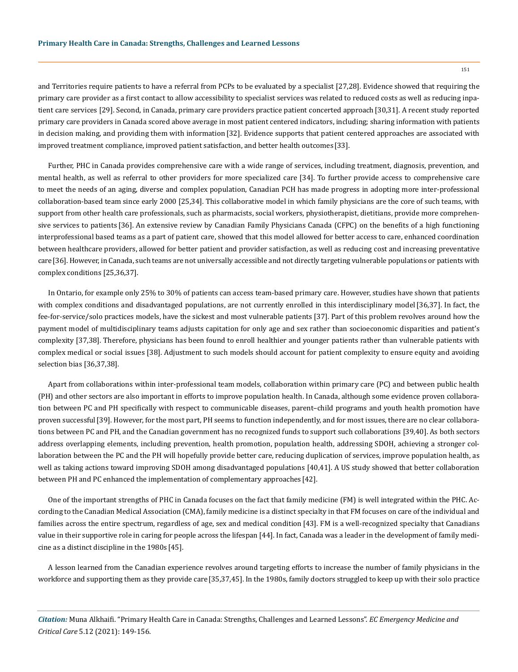151

and Territories require patients to have a referral from PCPs to be evaluated by a specialist [27,28]. Evidence showed that requiring the primary care provider as a first contact to allow accessibility to specialist services was related to reduced costs as well as reducing inpatient care services [29]. Second, in Canada, primary care providers practice patient concerted approach [30,31]. A recent study reported primary care providers in Canada scored above average in most patient centered indicators, including; sharing information with patients in decision making, and providing them with information [32]. Evidence supports that patient centered approaches are associated with improved treatment compliance, improved patient satisfaction, and better health outcomes [33].

Further, PHC in Canada provides comprehensive care with a wide range of services, including treatment, diagnosis, prevention, and mental health, as well as referral to other providers for more specialized care [34]. To further provide access to comprehensive care to meet the needs of an aging, diverse and complex population, Canadian PCH has made progress in adopting more inter-professional collaboration-based team since early 2000 [25,34]. This collaborative model in which family physicians are the core of such teams, with support from other health care professionals, such as pharmacists, social workers, physiotherapist, dietitians, provide more comprehensive services to patients [36]. An extensive review by Canadian Family Physicians Canada (CFPC) on the benefits of a high functioning interprofessional based teams as a part of patient care, showed that this model allowed for better access to care, enhanced coordination between healthcare providers, allowed for better patient and provider satisfaction, as well as reducing cost and increasing preventative care[36]. However, in Canada, such teams are not universally accessible and not directly targeting vulnerable populations or patients with complex conditions [25,36,37].

In Ontario, for example only 25% to 30% of patients can access team-based primary care. However, studies have shown that patients with complex conditions and disadvantaged populations, are not currently enrolled in this interdisciplinary model [36,37]. In fact, the fee-for-service/solo practices models, have the sickest and most vulnerable patients [37]. Part of this problem revolves around how the payment model of multidisciplinary teams adjusts capitation for only age and sex rather than socioeconomic disparities and patient's complexity [37,38]. Therefore, physicians has been found to enroll healthier and younger patients rather than vulnerable patients with complex medical or social issues [38]. Adjustment to such models should account for patient complexity to ensure equity and avoiding selection bias [36,37,38].

Apart from collaborations within inter-professional team models, collaboration within primary care (PC) and between public health (PH) and other sectors are also important in efforts to improve population health. In Canada, although some evidence proven collaboration between PC and PH specifically with respect to communicable diseases, parent–child programs and youth health promotion have proven successful [39]. However, for the most part, PH seems to function independently, and for most issues, there are no clear collaborations between PC and PH, and the Canadian government has no recognized funds to support such collaborations [39,40]. As both sectors address overlapping elements, including prevention, health promotion, population health, addressing SDOH, achieving a stronger collaboration between the PC and the PH will hopefully provide better care, reducing duplication of services, improve population health, as well as taking actions toward improving SDOH among disadvantaged populations [40,41]. A US study showed that better collaboration between PH and PC enhanced the implementation of complementary approaches [42].

One of the important strengths of PHC in Canada focuses on the fact that family medicine (FM) is well integrated within the PHC. According to the Canadian Medical Association (CMA), family medicine is a distinct specialty in that FM focuses on care of the individual and families across the entire spectrum, regardless of age, sex and medical condition [43]. FM is a well-recognized specialty that Canadians value in their supportive role in caring for people across the lifespan [44]. In fact, Canada was a leader in the development of family medicine as a distinct discipline in the 1980s [45].

A lesson learned from the Canadian experience revolves around targeting efforts to increase the number of family physicians in the workforce and supporting them as they provide care[35,37,45]. In the 1980s, family doctors struggled to keep up with their solo practice

*Citation:* Muna Alkhaifi. "Primary Health Care in Canada: Strengths, Challenges and Learned Lessons". *EC Emergency Medicine and Critical Care* 5.12 (2021): 149-156.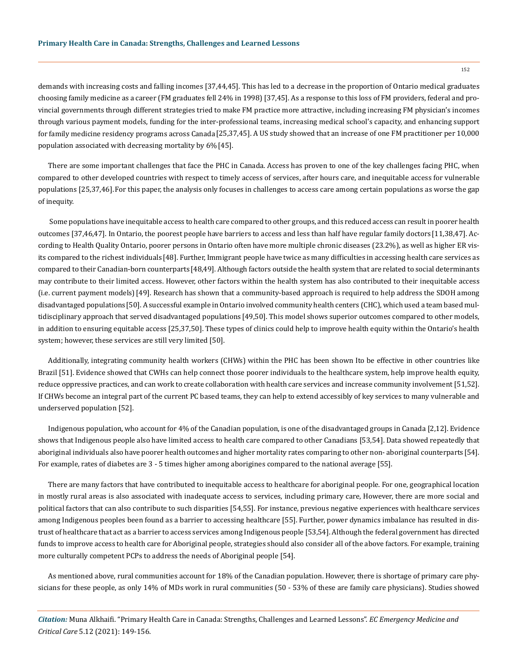demands with increasing costs and falling incomes [37,44,45]. This has led to a decrease in the proportion of Ontario medical graduates choosing family medicine as a career (FM graduates fell 24% in 1998) [37,45]. As a response to this loss of FM providers, federal and provincial governments through different strategies tried to make FM practice more attractive, including increasing FM physician's incomes through various payment models, funding for the inter-professional teams, increasing medical school's capacity, and enhancing support for family medicine residency programs across Canada [25,37,45]. A US study showed that an increase of one FM practitioner per 10,000 population associated with decreasing mortality by 6% [45].

There are some important challenges that face the PHC in Canada. Access has proven to one of the key challenges facing PHC, when compared to other developed countries with respect to timely access of services, after hours care, and inequitable access for vulnerable populations [25,37,46].For this paper, the analysis only focuses in challenges to access care among certain populations as worse the gap of inequity.

 Some populations have inequitable access to health care compared to other groups, and this reduced access can result in poorer health outcomes [37,46,47]. In Ontario, the poorest people have barriers to access and less than half have regular family doctors [11,38,47]. According to Health Quality Ontario, poorer persons in Ontario often have more multiple chronic diseases (23.2%), as well as higher ER visits compared to the richest individuals [48]. Further, Immigrant people have twice as many difficulties in accessing health care services as compared to their Canadian-born counterparts [48,49]. Although factors outside the health system that are related to social determinants may contribute to their limited access. However, other factors within the health system has also contributed to their inequitable access (i.e. current payment models)[49]. Research has shown that a community-based approach is required to help address the SDOH among disadvantaged populations[50]. A successful example in Ontario involved community health centers (CHC), which used a team based multidisciplinary approach that served disadvantaged populations [49,50]. This model shows superior outcomes compared to other models, in addition to ensuring equitable access [25,37,50]. These types of clinics could help to improve health equity within the Ontario's health system; however, these services are still very limited [50].

Additionally, integrating community health workers (CHWs) within the PHC has been shown Ito be effective in other countries like Brazil [51]. Evidence showed that CWHs can help connect those poorer individuals to the healthcare system, help improve health equity, reduce oppressive practices, and can work to create collaboration with health care services and increase community involvement [51,52]. If CHWs become an integral part of the current PC based teams, they can help to extend accessibly of key services to many vulnerable and underserved population [52].

Indigenous population, who account for 4% of the Canadian population, is one of the disadvantaged groups in Canada [2,12]. Evidence shows that Indigenous people also have limited access to health care compared to other Canadians [53,54]. Data showed repeatedly that aboriginal individuals also have poorer health outcomes and higher mortality rates comparing to other non- aboriginal counterparts [54]. For example, rates of diabetes are 3 - 5 times higher among aborigines compared to the national average [55].

There are many factors that have contributed to inequitable access to healthcare for aboriginal people. For one, geographical location in mostly rural areas is also associated with inadequate access to services, including primary care, However, there are more social and political factors that can also contribute to such disparities [54,55]. For instance, previous negative experiences with healthcare services among Indigenous peoples been found as a barrier to accessing healthcare [55]. Further, power dynamics imbalance has resulted in distrust of healthcare that act as a barrier to access services among Indigenous people [53,54]. Although the federal government has directed funds to improve access to health care for Aboriginal people, strategies should also consider all of the above factors. For example, training more culturally competent PCPs to address the needs of Aboriginal people [54].

As mentioned above, rural communities account for 18% of the Canadian population. However, there is shortage of primary care physicians for these people, as only 14% of MDs work in rural communities (50 - 53% of these are family care physicians). Studies showed

*Citation:* Muna Alkhaifi. "Primary Health Care in Canada: Strengths, Challenges and Learned Lessons". *EC Emergency Medicine and Critical Care* 5.12 (2021): 149-156.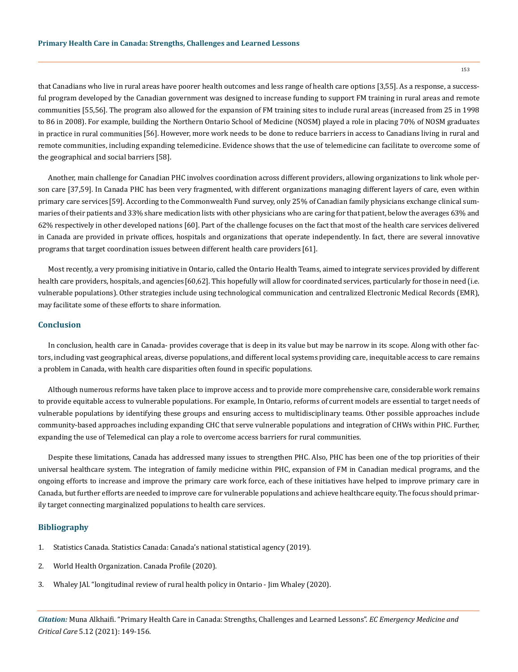that Canadians who live in rural areas have poorer health outcomes and less range of health care options [3,55]. As a response, a successful program developed by the Canadian government was designed to increase funding to support FM training in rural areas and remote communities [55,56]. The program also allowed for the expansion of FM training sites to include rural areas (increased from 25 in 1998 to 86 in 2008). For example, building the Northern Ontario School of Medicine (NOSM) played a role in placing 70% of NOSM graduates in practice in rural communities [56]. However, more work needs to be done to reduce barriers in access to Canadians living in rural and remote communities, including expanding telemedicine. Evidence shows that the use of telemedicine can facilitate to overcome some of the geographical and social barriers [58].

Another, main challenge for Canadian PHC involves coordination across different providers, allowing organizations to link whole person care [37,59]. In Canada PHC has been very fragmented, with different organizations managing different layers of care, even within primary care services [59]. According to the Commonwealth Fund survey, only 25% of Canadian family physicians exchange clinical summaries of their patients and 33% share medication lists with other physicians who are caring for that patient, below the averages 63% and 62% respectively in other developed nations [60]. Part of the challenge focuses on the fact that most of the health care services delivered in Canada are provided in private offices, hospitals and organizations that operate independently. In fact, there are several innovative programs that target coordination issues between different health care providers [61].

Most recently, a very promising initiative in Ontario, called the Ontario Health Teams, aimed to integrate services provided by different health care providers, hospitals, and agencies [60,62]. This hopefully will allow for coordinated services, particularly for those in need (i.e. vulnerable populations). Other strategies include using technological communication and centralized Electronic Medical Records (EMR), may facilitate some of these efforts to share information.

# **Conclusion**

In conclusion, health care in Canada- provides coverage that is deep in its value but may be narrow in its scope. Along with other factors, including vast geographical areas, diverse populations, and different local systems providing care, inequitable access to care remains a problem in Canada, with health care disparities often found in specific populations.

Although numerous reforms have taken place to improve access and to provide more comprehensive care, considerable work remains to provide equitable access to vulnerable populations. For example, In Ontario, reforms of current models are essential to target needs of vulnerable populations by identifying these groups and ensuring access to multidisciplinary teams. Other possible approaches include community-based approaches including expanding CHC that serve vulnerable populations and integration of CHWs within PHC. Further, expanding the use of Telemedical can play a role to overcome access barriers for rural communities.

Despite these limitations, Canada has addressed many issues to strengthen PHC. Also, PHC has been one of the top priorities of their universal healthcare system. The integration of family medicine within PHC, expansion of FM in Canadian medical programs, and the ongoing efforts to increase and improve the primary care work force, each of these initiatives have helped to improve primary care in Canada, but further efforts are needed to improve care for vulnerable populations and achieve healthcare equity. The focus should primarily target connecting marginalized populations to health care services.

### **Bibliography**

- 1. [Statistics Canada. Statistics Canada: Canada's national statistical agency \(2019\).](https://www.statcan.gc.ca/en/start)
- 2. [World Health Organization. Canada Profile \(2020\).](https://www.who.int/countries/can/)
- 3. [Whaley JAl. "longitudinal review of rural health policy in Ontario Jim Whaley \(2020\).](https://pubmed.ncbi.nlm.nih.gov/31818153/)

*Citation:* Muna Alkhaifi. "Primary Health Care in Canada: Strengths, Challenges and Learned Lessons". *EC Emergency Medicine and Critical Care* 5.12 (2021): 149-156.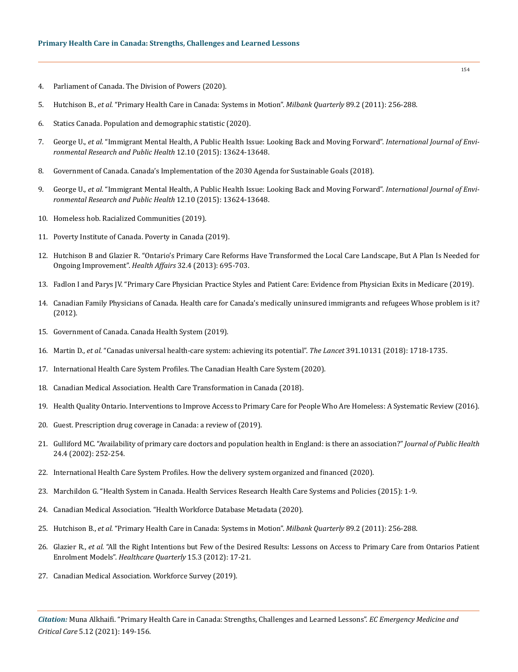- 4. [Parliament of Canada. The Division of Powers \(2020\).](https://en.wikipedia.org/wiki/Parliament_of_Canada)
- 5. Hutchison B., *et al.* ["Primary Health Care in Canada: Systems in Motion".](https://www.ncbi.nlm.nih.gov/pmc/articles/PMC3142339/) *Milbank Quarterly* 89.2 (2011): 256-288.
- 6. [Statics Canada. Population and demographic statistic \(2020\).](https://www.statcan.gc.ca/en/subjects-start/population_and_demography)
- 7. George U., *et al.* ["Immigrant Mental Health, A Public Health Issue: Looking Back and Moving Forward".](https://www.ncbi.nlm.nih.gov/pmc/articles/PMC4627052/) *International Journal of Envi[ronmental Research and Public Health](https://www.ncbi.nlm.nih.gov/pmc/articles/PMC4627052/)* 12.10 (2015): 13624-13648.
- 8. Government of Canada. Canada's Implementation of the 2030 Agenda for Sustainable Goals (2018).
- 9. George U., *et al.* ["Immigrant Mental Health, A Public Health Issue: Looking Back and Moving Forward".](https://www.ncbi.nlm.nih.gov/pmc/articles/PMC4627052/) *International Journal of Envi[ronmental Research and Public Health](https://www.ncbi.nlm.nih.gov/pmc/articles/PMC4627052/)* 12.10 (2015): 13624-13648.
- 10. [Homeless hob. Racialized Communities \(2019\).](https://www.homelesshub.ca/about-homelessness/population-specific/racialized-communities)
- 11. [Poverty Institute of Canada. Poverty in Canada \(2019\).](https://www.povertyinstitute.ca/poverty-canada)
- 12. [Hutchison B and Glazier R. "Ontario's Primary Care Reforms Have Transformed the Local Care Landscape, But A Plan Is Needed for](https://www.researchgate.net/publication/236140474_Ontario)  [Ongoing Improvement".](https://www.researchgate.net/publication/236140474_Ontario) *Health Affairs* 32.4 (2013): 695-703.
- 13. [Fadlon I and Parys JV. "Primary Care Physician Practice Styles and Patient Care: Evidence from Physician Exits in Medicare \(2019\).](https://www.sciencedirect.com/science/article/abs/pii/S0167629619308367)
- 14. [Canadian Family Physicians of Canada. Health care for Canada's medically uninsured immigrants and refugees Whose problem is it?](https://www.ncbi.nlm.nih.gov/pmc/articles/PMC3395500/)  [\(2012\).](https://www.ncbi.nlm.nih.gov/pmc/articles/PMC3395500/)
- 15. Government of Canada. Canada Health System (2019).
- 16. Martin D., *et al.* ["Canadas universal health-care system: achieving its potential".](https://www.thelancet.com/journals/lancet/article/PIIS0140-6736(18)30181-8/fulltext) *The Lancet* 391.10131 (2018): 1718-1735.
- 17. International Health Care System Profiles. The Canadian Health Care System (2020).
- 18. [Canadian Medical Association. Health Care Transformation in Canada \(2018\).](https://www.wma.net/blog-post/health-care-transformation-in-canada/)
- 19. [Health Quality Ontario. Interventions to Improve Access to Primary Care for People Who Are Homeless: A Systematic Review \(2016\).](https://www.ncbi.nlm.nih.gov/pmc/articles/PMC4832090/)
- 20. Guest. Prescription drug coverage in Canada: a review of (2019).
- 21. [Gulliford MC. "Availability of primary care doctors and population health in England: is there an association?"](https://pubmed.ncbi.nlm.nih.gov/12546200/) *Journal of Public Health* [24.4 \(2002\): 252-254.](https://pubmed.ncbi.nlm.nih.gov/12546200/)
- 22. [International Health Care System Profiles. How the delivery system organized and financed \(2020\).](https://www.commonwealthfund.org/international-health-policy-center/system-profiles)
- 23. Marchildon G. "Health System in Canada. Health Services Research Health Care Systems and Policies (2015): 1-9.
- 24. [Canadian Medical Association. "Health Workforce Database Metadata \(2020\).](https://www.cihi.ca/en/health-workforce-database-metadata)
- 25. Hutchison B., *et al.* ["Primary Health Care in Canada: Systems in Motion".](https://www.ncbi.nlm.nih.gov/pmc/articles/PMC3142339/) *Milbank Quarterly* 89.2 (2011): 256-288.
- 26. Glazier R., *et al.* ["All the Right Intentions but Few of the Desired Results: Lessons on Access to Primary Care from Ontarios Patient](https://pubmed.ncbi.nlm.nih.gov/22986561/)  Enrolment Models". *[Healthcare Quarterly](https://pubmed.ncbi.nlm.nih.gov/22986561/)* 15.3 (2012): 17-21.
- 27. Canadian Medical Association. Workforce Survey (2019).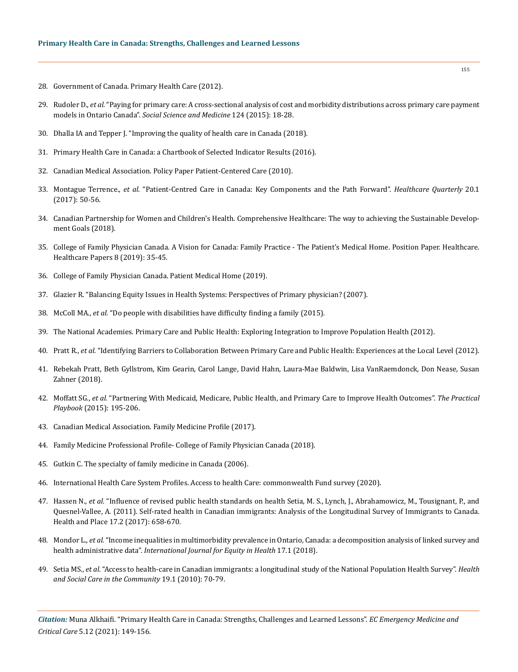- 28. Government of Canada. Primary Health Care (2012).
- 29. Rudoler D., *et al.* ["Paying for primary care: A cross-sectional analysis of cost and morbidity distributions across primary care payment](https://pubmed.ncbi.nlm.nih.gov/25461858/)  models in Ontario Canada". *[Social Science and Medicine](https://pubmed.ncbi.nlm.nih.gov/25461858/)* 124 (2015): 18-28.
- 30. [Dhalla IA and Tepper J. "Improving the quality of health care in Canada \(2018\).](https://www.ncbi.nlm.nih.gov/pmc/articles/PMC6167219/)
- 31. [Primary Health Care in Canada: a Chartbook of Selected Indicator Results \(2016\).](https://secure.cihi.ca/free_products/Primary%20Health%20Care%20in%20Canada%20-%20Selected%20Pan-Canadian%20Indicators_2016_EN.pdf)
- 32. [Canadian Medical Association. Policy Paper Patient-Centered Care \(2010\).](https://www.cma.ca/sites/default/files/2018-11/PD14-04-e.pdf)
- 33. Montague Terrence., *et al.* ["Patient-Centred Care in Canada: Key Components and the Path Forward".](https://pubmed.ncbi.nlm.nih.gov/28550701/) *Healthcare Quarterly* 20.1 [\(2017\): 50-56.](https://pubmed.ncbi.nlm.nih.gov/28550701/)
- 34. [Canadian Partnership for Women and Children's Health. Comprehensive Healthcare: The way to achieving the Sustainable Develop](https://womendeliver.org/2018/comprehensive-healthcare-the-way-to-achieving-the-sustainable-development-goals/)[ment Goals \(2018\).](https://womendeliver.org/2018/comprehensive-healthcare-the-way-to-achieving-the-sustainable-development-goals/)
- 35. [College of Family Physician Canada. A Vision for Canada: Family Practice The Patient's Medical Home. Position Paper. Healthcare.](https://www.cfpc.ca/en/policy-innovation/health-policy-goverment-relations/cfpc-policy-papers-position-statements/a-vision-for-canada)  [Healthcare Papers 8 \(2019\): 35-45.](https://www.cfpc.ca/en/policy-innovation/health-policy-goverment-relations/cfpc-policy-papers-position-statements/a-vision-for-canada)
- 36. College of Family Physician Canada. Patient Medical Home (2019).
- 37. [Glazier R. "Balancing Equity Issues in Health Systems: Perspectives of Primary physician? \(2007\).](https://www.longwoods.com/content/19218/healthcarepapers/balancing-equity-issues-in-health-systems-perspectives-of-primary-healthcare)
- 38. McColl MA., *et al.* ["Do people with disabilities have difficulty finding a family \(2015\).](https://pubmed.ncbi.nlm.nih.gov/25927477/)
- 39. [The National Academies. Primary Care and Public Health: Exploring Integration to Improve Population Health \(2012\).](https://pubmed.ncbi.nlm.nih.gov/24851288/)
- 40. Pratt R., *et al.* ["Identifying Barriers to Collaboration Between Primary Care and Public Health: Experiences at the Local Level \(2012\).](https://pubmed.ncbi.nlm.nih.gov/29614236/)
- 41. Rebekah Pratt, Beth Gyllstrom, Kim Gearin, Carol Lange, David Hahn, Laura-Mae Baldwin, Lisa VanRaemdonck, Don Nease, Susan Zahner (2018).
- 42. Moffatt SG., *et al.* "Partnering With Medicaid, Medicare, Public Health, and Primary Care to Improve Health Outcomes". *The Practical Playbook* (2015): 195-206.
- 43. Canadian Medical Association. Family Medicine Profile (2017).
- 44. [Family Medicine Professional Profile- College of Family Physician Canada \(2018\).](https://www.cfpc.ca/en/about-us/family-medicine-professional-profile)
- 45. Gutkin C. The specialty of family medicine in Canada (2006).
- 46. [International Health Care System Profiles. Access to health Care: commonwealth Fund survey \(2020\).](https://www.commonwealthfund.org/international-health-policy-center/system-profiles)
- 47. Hassen N., *et al.* "Influence of revised public health standards on health Setia, M. S., Lynch, J., Abrahamowicz, M., Tousignant, P., and Quesnel-Vallee, A. (2011). Self-rated health in Canadian immigrants: Analysis of the Longitudinal Survey of Immigrants to Canada. Health and Place 17.2 (2017): 658-670.
- 48. Mondor L., *et al.* ["Income inequalities in multimorbidity prevalence in Ontario, Canada: a decomposition analysis of linked survey and](https://www.researchgate.net/publication/325995217_Income_inequalities_in_multimorbidity_prevalence_in_Ontario_Canada_A_decomposition_analysis_of_linked_survey_and_health_administrative_data)  health administrative data". *[International Journal for Equity in Health](https://www.researchgate.net/publication/325995217_Income_inequalities_in_multimorbidity_prevalence_in_Ontario_Canada_A_decomposition_analysis_of_linked_survey_and_health_administrative_data)* 17.1 (2018).
- 49. Setia MS., *et al*[. "Access to health‐care in Canadian immigrants: a longitudinal study of the National Population Health Survey".](https://pubmed.ncbi.nlm.nih.gov/21054621/) *Health [and Social Care in the Community](https://pubmed.ncbi.nlm.nih.gov/21054621/)* 19.1 (2010): 70-79.

*Citation:* Muna Alkhaifi. "Primary Health Care in Canada: Strengths, Challenges and Learned Lessons". *EC Emergency Medicine and Critical Care* 5.12 (2021): 149-156.